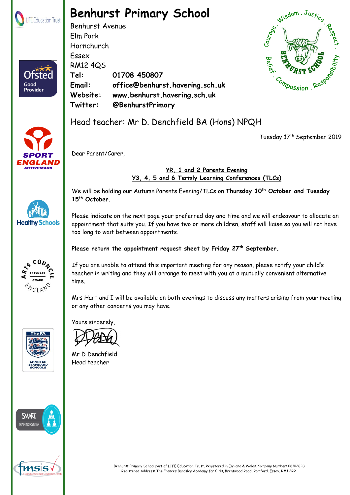

# **Benhurst Primary School**

Benhurst Avenue Elm Park Hornchurch Essex RM12 4QS **Tel: 01708 450807 Email: office@benhurst.havering.sch.uk Website: www.benhurst.havering.sch.uk Twitter: @BenhurstPrimary**





**Healthy Schools** 

**ENGLAND** 

Good Provider

## Head teacher: Mr D. Denchfield BA (Hons) NPQH

Tuesday 17<sup>th</sup> September 2019

Dear Parent/Carer,

#### **YR, 1 and 2 Parents Evening Y3, 4, 5 and 6 Termly Learning Conferences (TLCs)**

We will be holding our Autumn Parents Evening/TLCs on **Thursday 10th October and Tuesday 15th October**.

Please indicate on the next page your preferred day and time and we will endeavour to allocate an appointment that suits you. If you have two or more children, staff will liaise so you will not have too long to wait between appointments.

### **Please return the appointment request sheet by Friday 27th September.**

If you are unable to attend this important meeting for any reason, please notify your child's teacher in writing and they will arrange to meet with you at a mutually convenient alternative time.

Mrs Hart and I will be available on both evenings to discuss any matters arising from your meeting or any other concerns you may have.

Yours sincerely,

Mr D Denchfield Head teacher